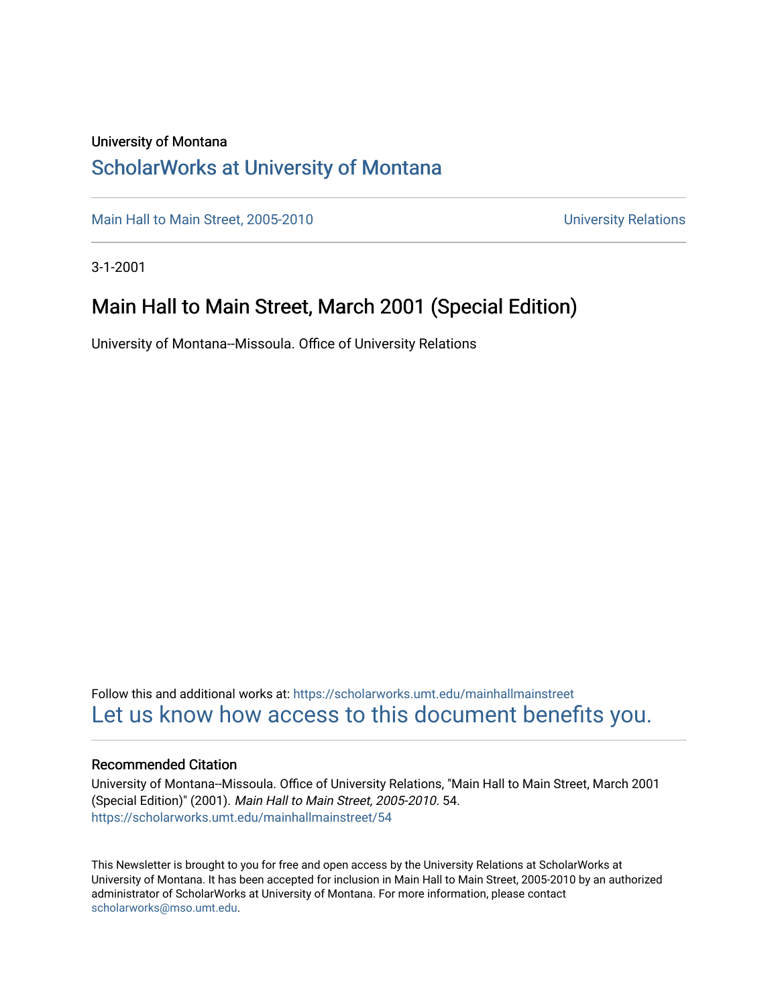### University of Montana [ScholarWorks at University of Montana](https://scholarworks.umt.edu/)

[Main Hall to Main Street, 2005-2010](https://scholarworks.umt.edu/mainhallmainstreet) Main Hall to Main Street, 2005-2010

3-1-2001

### Main Hall to Main Street, March 2001 (Special Edition)

University of Montana--Missoula. Office of University Relations

Follow this and additional works at: [https://scholarworks.umt.edu/mainhallmainstreet](https://scholarworks.umt.edu/mainhallmainstreet?utm_source=scholarworks.umt.edu%2Fmainhallmainstreet%2F54&utm_medium=PDF&utm_campaign=PDFCoverPages) [Let us know how access to this document benefits you.](https://goo.gl/forms/s2rGfXOLzz71qgsB2) 

#### Recommended Citation

University of Montana--Missoula. Office of University Relations, "Main Hall to Main Street, March 2001 (Special Edition)" (2001). Main Hall to Main Street, 2005-2010. 54. [https://scholarworks.umt.edu/mainhallmainstreet/54](https://scholarworks.umt.edu/mainhallmainstreet/54?utm_source=scholarworks.umt.edu%2Fmainhallmainstreet%2F54&utm_medium=PDF&utm_campaign=PDFCoverPages) 

This Newsletter is brought to you for free and open access by the University Relations at ScholarWorks at University of Montana. It has been accepted for inclusion in Main Hall to Main Street, 2005-2010 by an authorized administrator of ScholarWorks at University of Montana. For more information, please contact [scholarworks@mso.umt.edu.](mailto:scholarworks@mso.umt.edu)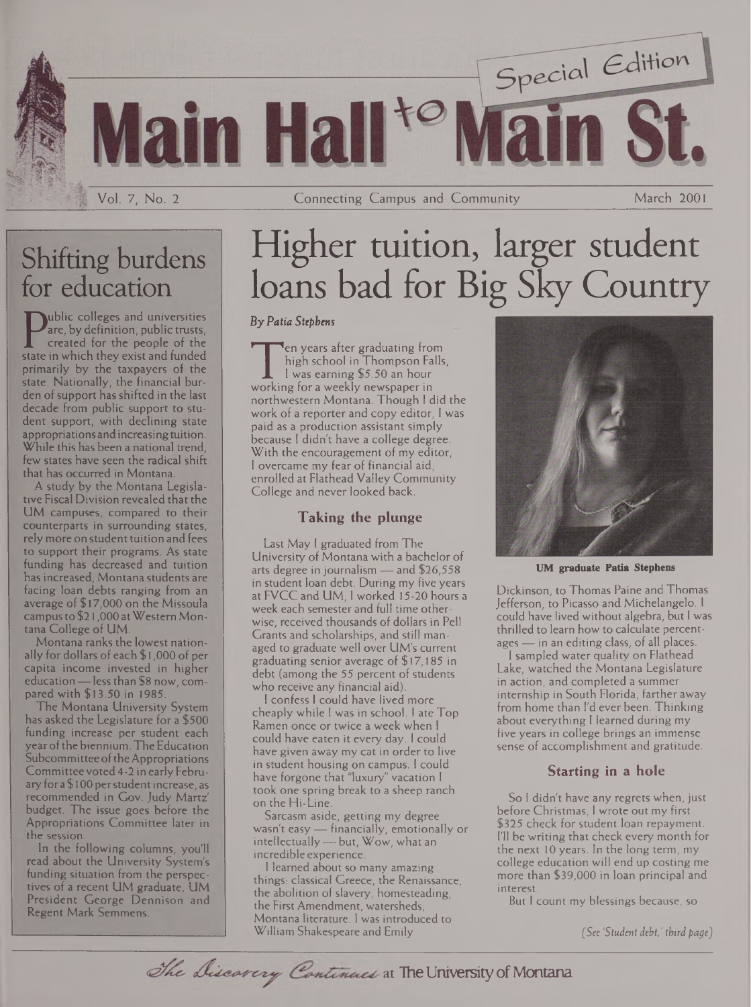

Shifting burdens for education

Frame, by definition, public trusts,<br>created for the people of the<br>state in which they exist and funded<br>primarily, by the taxpayers of the ublic colleges and universities are, by definition, public trusts, created for the people of the primarily by the taxpayers of the state. Nationally, the financial burden of support has shifted in the last decade from public support to student support, with declining state appropriations and increasing tuition. While this has been a national trend. few states have seen the radical shift that has occurred in Montana.

A study by the Montana Legislative Fiscal Division revealed that the UM campuses, compared to their counterparts in surrounding states, relymore on student tuition and fees to support their programs. As state funding has decreased and tuition has increased, Montana students are facing loan debts ranging from an average of \$ 17,000 on the Missoula campusto \$21,000 atWestern Montana College of UM.

Montana ranks the lowest nationally for dollars of each \$ 1,000 of per capita income invested in higher education—lessthan\$8 now, compared with \$13.50 in 1985.

The Montana University System has asked the Legislature for a \$500 funding increase per student each yearofthe biennium. The Education Subcommittee oftheAppropriations Committee voted 4-2 in early February fora \$ 100 perstudent increase, as recommended in Gov. Judy Martz' budget; The issue goes before the Appropriations Committee later in the session.

In the following columns, you'll read about the University System's funding situation from the perspectives of a recent UM graduate, UM President George Dennison and Regent Mark Semmens.

# Higher tuition, larger student loans bad for Big Sky Country

#### *ByPatia Stephens*

First years after graduating from<br>high school in Thompson Falls,<br>working for a weekly newspaper in<br>northwestern Montana. Though I did the <sup>t</sup>en years after graduating from high school in Thompson Falls, I was earning \$5.50 an hour northwestern Montana. Though <sup>1</sup> did the work of a reporter and copy editor, <sup>I</sup> was paid as a production assistant simply because <sup>I</sup> didn't have a college degree. With the encouragement of my editor, <sup>1</sup> overcame my fear of financial aid, enrolled at Flathead Valley Community College and never looked back.

#### **Taking the plunge**

Last May <sup>I</sup> graduated from The University of Montana with a bachelor of arts degree in journalism — and \$26,558 in student loan debt. During my five years at FVCC and UM, <sup>I</sup> worked 15-20 hours a week each semester and full time otherwise, received thousands of dollars in Pell Grants and scholarships, and still managed to graduate well over UM's current graduating senior average of \$17,185 in debt (among the 55 percent of students who receive any financial aid).

<sup>1</sup> confess <sup>1</sup> could have lived more cheaply while <sup>I</sup> was in school. <sup>I</sup> ate Top Ramen once or twice a week when <sup>I</sup> could have eaten it every day. <sup>I</sup> could have given away my cat in order to live in student housing on campus. <sup>1</sup> could have forgone that "luxury" vacation <sup>I</sup> took one spring break to a sheep ranch on the Hi-Line.

Sarcasm aside, getting my degree wasn't easy — financially, emotionally or intellectually—but, Wow, what an incredible experience.

<sup>I</sup> learned about so many amazing things: classical Greece, the Renaissance, the abolition of slavery, homesteading, the First Amendment, watersheds, Montana literature. <sup>I</sup> was introduced to William Shakespeare and Emily

The Discovery Continues at The University of Montana

**UM graduate Patia Stephens**

Dickinson, to Thomas Paine and Thomas Jefferson, to Picasso and Michelangelo. <sup>1</sup> could have lived without algebra, but <sup>I</sup> was thrilled to learn how to calculate percentages — in an editing class, of all places.

<sup>I</sup> sampled water quality on Flathead Lake, watched the Montana Legislature in action, and completed a summer internship in South Florida, farther away from home than I'd ever been. Thinking about everything <sup>1</sup> learned during my five years in college brings an immense sense of accomplishment and gratitude.

#### **Starting in a hole**

So <sup>I</sup> didn't have any regrets when, just before Christmas, I wrote out my first \$325 check for student loan repayment. I'll be writing that check every month for the next 10 years. In the long term, my college education will end up costing me more than \$39,000 in loan principal and interest.

But <sup>I</sup> count my blessings because, so

*<sup>(</sup>See 'Student debt,'third page)*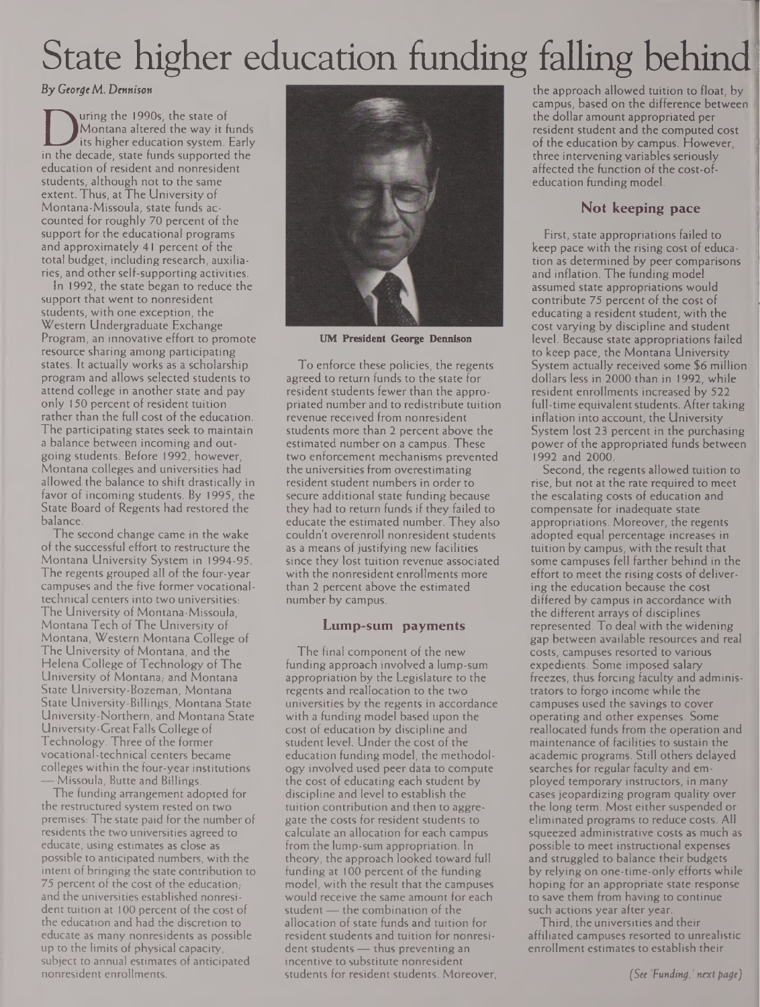# State higher education funding falling behind

**By** *GeorgeM. Dennison*

Montana altered the way it funds<br>its higher education system. Early<br>in the decade, state funds supported the<br>education of resident and nonresident uring the 1990s, the state of Montana altered the way it funds its higher education system. Early education of resident and nonresident students, although not to the same extent. Thus, at The University of Montana-Missoula, state funds accounted for roughly 70 percent of the support for the educational programs and approximately 41 percent of the total budget, including research, auxiliaries, and other self-supporting activities.

In 1992, the state began to reduce the support that went to nonresident students, with one exception, the Western Undergraduate Exchange Program, an innovative effort to promote resource sharing among participating states. It actually works as a scholarship program and allows selected students to attend college in another state and pay only 150 percent of resident tuition rather than the full cost of the education. The participating states seek to maintain a balance between incoming and outgoing students. Before 1992, however, Montana colleges and universities had allowed the balance to shift drastically in favor of incoming students. By 1995, the State Board of Regents had restored the balance.

The second change came in the wake of the successful effort to restructure the Montana University System in 1994-95. The regents grouped all of the four-year campuses and the five former vocationaltechnical centers into two universities: The University of Montana-Missoula, Montana Tech of The University of Montana, Western Montana College of The University of Montana, and the Helena College of Technology of The University of Montana, and Montana State University-Bozeman, Montana State University-Billings, Montana State University-Northern, and Montana State University-Great Falls College of Technology. Three of the former vocational-technical centers became colleges within the four-year institutions — Missoula, Butte and Billings.

The funding arrangement adopted for the restructured system rested on two premises: The state paid for the number of residents the two universities agreed to educate, using estimates as close as possible to anticipated numbers, with the intent of bringing the state contribution to 75 percent of the cost of the education. and the universities established nonresident tuition at 100 percent of the cost of the education and had the discretion to educate as many nonresidents as possible up to the limits of physical capacity, subject to annual estimates of anticipated nonresident enrollments.



**UM President George Dennison**

To enforce these policies, the regents agreed to return funds to the state for resident students fewer than the appropriated number and to redistribute tuition revenue received from nonresident students more than 2 percent above the estimated number on a campus. These two enforcement mechanisms prevented the universities from overestimating resident student numbers in order to secure additional state funding because they had to return funds if they failed to educate the estimated number. They also couldn't overenroll nonresident students as a means of justifying new facilities since they lost tuition revenue associated with the nonresident enrollments more than 2 percent above the estimated number by campus.

#### **Lump-sum payments**

The final component of the new funding approach involved a lump-sum appropriation by the Legislature to the regents and reallocation to the two universities by the regents in accordance with a funding model based upon the cost of education by discipline and student level. Under the cost of the education funding model, the methodology involved used peer data to compute the cost of educating each student by discipline and level to establish the tuition contribution and then to aggregate the costs for resident students to calculate an allocation for each campus from the lump-sum appropriation. In theory, the approach looked toward full funding at 100 percent of the funding model, with the result that the campuses would receive the same amount for each student— the combination of the allocation of state funds and tuition for resident students and tuition for nonresident students — thus preventing an incentive to substitute nonresident students for resident students. Moreover,

the approach allowed tuition to float, by campus, based on the difference between the dollar amount appropriated per resident student and the computed cost of the education by campus. However, <sup>1</sup> three intervening variables seriously affected the function of the cost-ofeducation funding model.

#### **Not keeping pace**

First, state appropriations failed to keep pace with the rising cost of education as determined by peer comparisons <sup>1</sup> and inflation. The funding model assumed state appropriations would contribute 75 percent of the cost of educating a resident student, with the cost varying by discipline and student level. Because state appropriations failed to keep pace, the Montana University System actually received some \$6 million dollars less in 2000 than in 1992, while resident enrollments increased by 522 full-time equivalent students. After taking inflation into account, the University System lost 23 percent in the purchasing power of the appropriated funds between 1992 and 2000.

Second, the regents allowed tuition to rise, but not at the rate required to meet the escalating costs of education and compensate for inadequate state appropriations. Moreover, the regents adopted equal percentage increases in tuition by campus, with the result that some campuses fell farther behind in the effort to meet the rising costs of delivering the education because the cost differed by campus in accordance with the different arrays of disciplines represented. To deal with the widening gap between available resources and real costs, campuses resorted to various expedients. Some imposed salary freezes, thus forcing faculty and administrators to forgo income while the campuses used the savings to cover operating and other expenses. Some reallocated funds from the operation and maintenance of facilities to sustain the academic programs. Still others delayed searches for regular faculty and employed temporary instructors, in many cases jeopardizing program quality over the long term. Most either suspended or eliminated programs to reduce costs. All squeezed administrative costs as much as possible to meet instructional expenses and struggled to balance their budgets by relying on one-time-only efforts while hoping for an appropriate state response to save them from having to continue such actions year after year.

Third, the universities and their affiliated campuses resorted to unrealistic enrollment estimates to establish their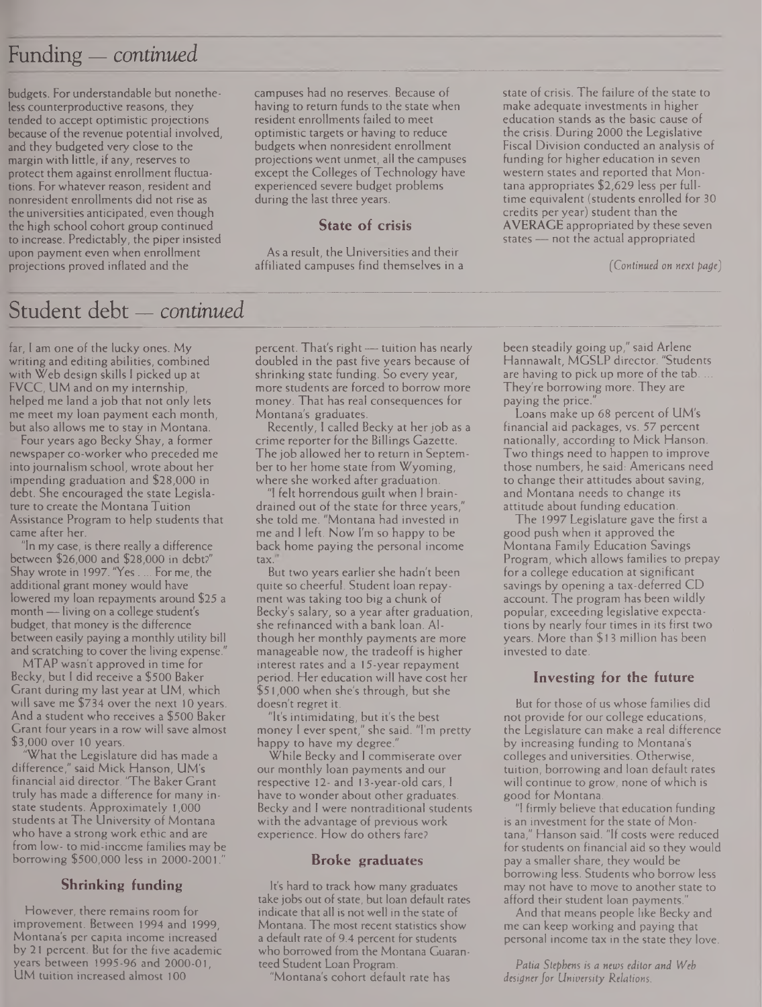## Funding — *continued*

budgets. For understandable but nonetheless counterproductive reasons, they tended to accept optimistic projections because of the revenue potential involved, and they budgeted very close to the margin with little, if any, reserves to protect them against enrollment fluctuations. For whatever reason, resident and nonresident enrollments did not rise as the universities anticipated, even though the high school cohort group continued to increase. Predictably, the piper insisted upon payment even when enrollment projections proved inflated and the

campuses had no reserves. Because of having to return funds to the state when resident enrollments failed to meet optimistic targets or having to reduce budgets when nonresident enrollment projections went unmet, all the campuses except the Colleges of Technology have experienced severe budget problems during the last three years.

#### **State of crisis**

As a result, the Universities and their affiliated campuses find themselves in a state of crisis. The failure of the state to make adequate investments in higher education stands as the basic cause of the crisis. During 2000 the Legislative Fiscal Division conducted an analysis of funding for higher education in seven western states and reported that Montana appropriates \$2,629 less per fulltime equivalent (students enrolled for 30 credits per year) student than the AVERAGE appropriated by these seven states — not the actual appropriated

*(Continued on next page)*

## Student debt — *continued*

*far,* <sup>I</sup> am one of the lucky ones. My writing and editing abilities, combined with Web design skills <sup>I</sup> picked up at FVCC, UM and on my internship, helped me land a job that not only lets me meet my loan payment each month, but also allows me to stay in Montana.

Four years ago Becky Shay, a former newspaper co-worker who preceded me into journalism school, wrote about her impending graduation and \$28,000 in debt. She encouraged the state Legislature to create the Montana Tuition Assistance Program to help students that came after her.

"In my case, is there really a difference between \$26,000 and \$28,000 in debt?" Shay wrote in 1997. "Yes . ... For me, the additional grant money would have lowered my Ioan repayments around \$25 a month — living on a college student's budget, that money is the difference between easily paying a monthly utility bill and scratching to cover the living expense.

MTAP wasn't approved in time for Becky, but <sup>I</sup> did receive a \$500 Baker Grant during my last year at UM, which will save me \$734 over the next 10 years. And a student who receives a \$500 Baker Grant four years in a row will save almost \$3,000 over 10 years.

"What the Legislature did has made a difference," said Mick Hanson, UM's financial aid director. 'The Baker Grant truly has made a difference for many instate students. Approximately 1,000 students at The University of Montana who have a strong work ethic and are from low- to mid-income families may be borrowing \$500,000 less in 2000-2001."

#### **Shrinking funding**

However, there remains room for improvement. Between 1994 and 1999, Montana's per capita income increased by 21 percent. But for the five academic years between 1995-96 and 2000-01, UM tuition increased almost 100

percent. That's right— tuition has nearly doubled in the past five years because of shrinking state funding. So every year, more students are forced to borrow more money. That has real consequences for Montana's graduates.

Recently, I called Becky at her job as a crime reporter for the Billings Gazette. The job allowed her to return in September to her home state from Wyoming, where she worked after graduation.

"I felt horrendous guilt when <sup>1</sup> braindrained out of the state for three years," she told me. "Montana had invested in me and I left. Now I'm so happy to be back home paying the personal income tax.

But two years earlier she hadn't been quite so cheerful. Student loan repayment was taking too big a chunk of Becky's salary, so a year after graduation, she refinanced with a bank loan. Although her monthly payments are more manageable now, the tradeoff is higher interest rates and a 15-year repayment period. Her education will have cost her \$51,000 when she's through, but she doesn't regret it.

"It's intimidating, but it's the best money <sup>I</sup> ever spent," she said. "I'm pretty happy to have my degree."

While Becky and <sup>I</sup> commiserate over our monthly loan payments and our respective 12- and 13-year-old cars, <sup>I</sup> have to wonder about other graduates. Becky and <sup>I</sup> were nontraditional students with the advantage of previous work experience. How do others fare?

#### **Broke graduates**

It's hard to track how many graduates take jobs out of state, but loan default rates indicate that all is not well in the state of Montana. The most recent statistics show a default rate of 9.4 percent for students who borrowed from the Montana Guaranteed Student Loan Program.

"Montana's cohort default rate has

been steadily going up," said Arlene Hannawalt, MGSLP director. "Students are having to pick up more of the tab.... They're borrowing more. They are paying the price."

Loans make up 68 percent of UM's financial aid packages, vs. 57 percent nationally, according to Mick Hanson. Two things need to happen to improve those numbers, he said: Americans need to change their attitudes about saving, and Montana needs to change its attitude about funding education.

The 1997 Legislature gave the first a good push when it approved the Montana Family Education Savings Program, which allows families to prepay for a college education at significant savings by opening a tax-deferred CD account. The program has been wildly popular, exceeding legislative expectations by nearly four times in its first two years. More than \$13 million has been invested to date.

#### **Investing for the future**

But for those of us whose families did not provide for our college educations, the Legislature can make a real difference by increasing funding to Montana's colleges and universities. Otherwise, tuition, borrowing and loan default rates will continue to grow, none of which is good for Montana.

"I firmly believe that education funding is an investment for the state of Montana," Hanson said. "If costs were reduced for students on financial aid so they would pay a smaller share, they would be borrowing less. Students who borrow less may not have to move to another state to afford their student loan payments.

And that means people like Becky and me can keep working and paying that personal income tax in the state they love.

*Patia Stephens is a news editor and Web designerfor University Relations.*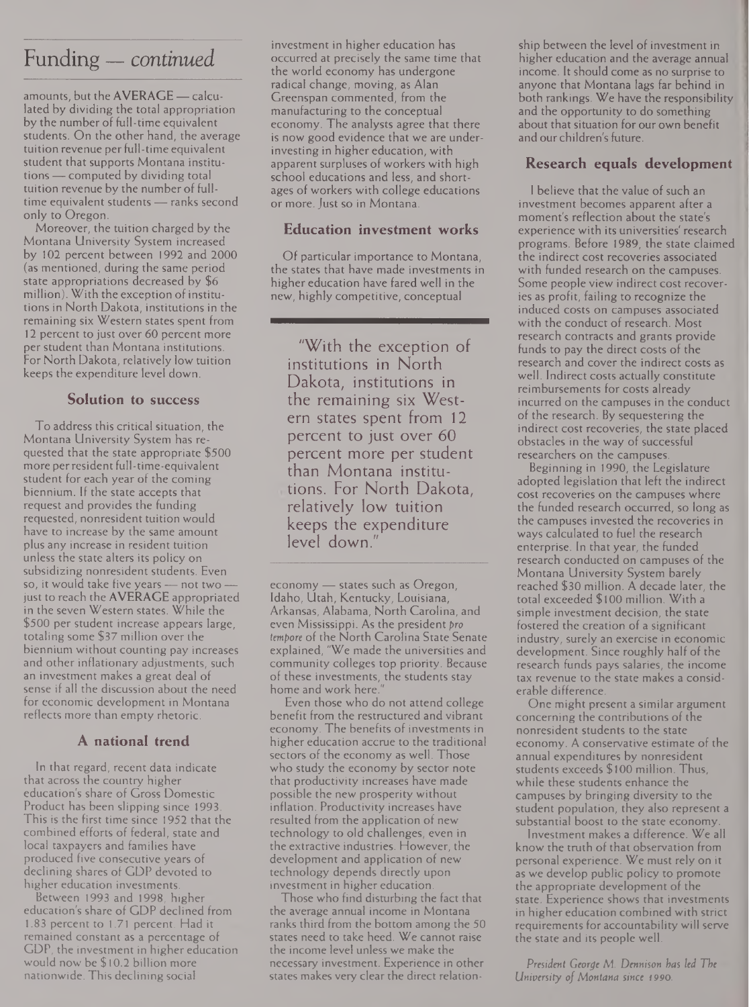## Funding — *continued*

amounts, but the AVERAGE—calculated by dividing the total appropriation by the number of full-time equivalent students. On the other hand, the average tuition revenue per full-time equivalent student that supports Montana institutions — computed by dividing total tuition revenue by the number of fulltime equivalent students — ranks second only to Oregon.

Moreover, the tuition charged by the Montana University System increased by 102 percent between 1992 and 2000 (as mentioned, during the same period state appropriations decreased by \$6 million). With the exception of institutions in North Dakota, institutions in the remaining six Western states spent from 12 percent to just over 60 percent more per student than Montana institutions. For North Dakota, relatively low tuition keeps the expenditure level down.

#### **Solution to success**

To address this critical situation, the Montana University System has requested that the state appropriate \$500 more per resident full-time-equivalent student for each year of the coming biennium. If the state accepts that request and provides the funding requested, nonresident tuition would have to increase by the same amount plus any increase in resident tuition unless the state alters its policy on subsidizing nonresident students. Even so, it would take five years — not two just to reach the AVERAGE appropriated in the seven Western states. While the \$500 per student increase appears large, totaling some \$37 million over the biennium without counting pay increases and other inflationary adjustments, such an investment makes a great deal of sense if all the discussion about the need for economic development in Montana reflects more than empty rhetoric.

#### **A national trend**

In that regard, recent data indicate that across the country higher education's share of Gross Domestic Product has been slipping since 1993. This is the first time since 1952 that the combined efforts of federal, state and local taxpayers and families have produced five consecutive years of declining shares of GDP devoted to higher education investments.

Between 1993 and 1998, higher education's share of GDP declined from 1.83 percent to 1.71 percent. Had it remained constant as a percentage of GDP, the investment in higher education would now be \$10.2 billion more nationwide. This declining social

investment in higher education has occurred at precisely the same time that the world economy has undergone radical change, moving, as Alan Greenspan commented, from the manufacturing to the conceptual economy. The analysts agree that there is now good evidence that we are underinvesting in higher education, with apparent surpluses of workers with high school educations and less, and shortages of workers with college educations or more.Just so in Montana.

#### **Education investment works**

Of particular importance to Montana, the states that have made investments in higher education have fared well in the new, highly competitive, conceptual

"With the exception of institutions in North Dakota, institutions in the remaining six Western states spent from 12 percent to just over 60 percent more per student than Montana institutions. For North Dakota, relatively low tuition keeps the expenditure level down."

economy — states such as Oregon, Idaho, Utah, Kentucky, Louisiana, Arkansas, Alabama, North Carolina, and even Mississippi. As the president *pro tempore of* the North Carolina State Senate explained, "We made the universities and community colleges top priority. Because of these investments, the students stay home and work here.

Even those who do not attend college benefit from the restructured and vibrant economy. The benefits of investments in higher education accrue to the traditional sectors of the economy as well. Those who study the economy by sector note that productivity increases have made possible the new prosperity without inflation. Productivity increases have resulted from the application of new technology to old challenges, even in the extractive industries. However, the development and application of new technology depends directly upon investment in higher education.

Those who find disturbing the fact that the average annual income in Montana ranks third from the bottom among the 50 states need to take heed. We cannot raise the income level unless we make the necessary investment. Experience in other states makes very clear the direct relationship between the level of investment in higher education and the average annual income. It should come as no surprise to anyone that Montana lags far behind in both rankings. We have the responsibility and the opportunity to do something about that situation for our own benefit and our children's future.

#### **Research equals development**

I believe that the value of such an investment becomes apparent after a moment's reflection about the state's experience with its universities' research programs. Before 1989, the state claimed the indirect cost recoveries associated with funded research on the campuses. Some people view indirect cost recoveries as profit, failing to recognize the induced costs on campuses associated with the conduct of research. Most research contracts and grants provide funds to pay the direct costs of the research and cover the indirect costs as well. Indirect costs actually constitute reimbursements for costs already incurred on the campuses in the conduct of the research. By sequestering the indirect cost recoveries, the state placed obstacles in the way of successful researchers on the campuses.

Beginning in 1990, the Legislature adopted legislation that left the indirect cost recoveries on the campuses where the funded research occurred, so long as the campuses invested the recoveries in ways calculated to fuel the research enterprise. In that year, the funded research conducted on campuses of the Montana University System barely reached \$30 million. A decade later, the total exceeded \$100 million. With a simple investment decision, the state fostered the creation of a significant industry, surely an exercise in economic development. Since roughly half of the research funds pays salaries, the income tax revenue to the state makes a considerable difference.

One might present a similar argument concerning the contributions of the nonresident students to the state economy. A conservative estimate of the annual expenditures by nonresident students exceeds \$100 million. Thus, while these students enhance the campuses by bringing diversity to the student population, they also represent a substantial boost to the state economy.

Investment makes a difference. We all know the truth of that observation from personal experience. We must rely on it as we develop public policy to promote the appropriate development of the state. Experience shows that investments in higher education combined with strict requirements for accountability will serve the state and its people well.

*President George M. Dennison has led The University ofMontana since 1990.*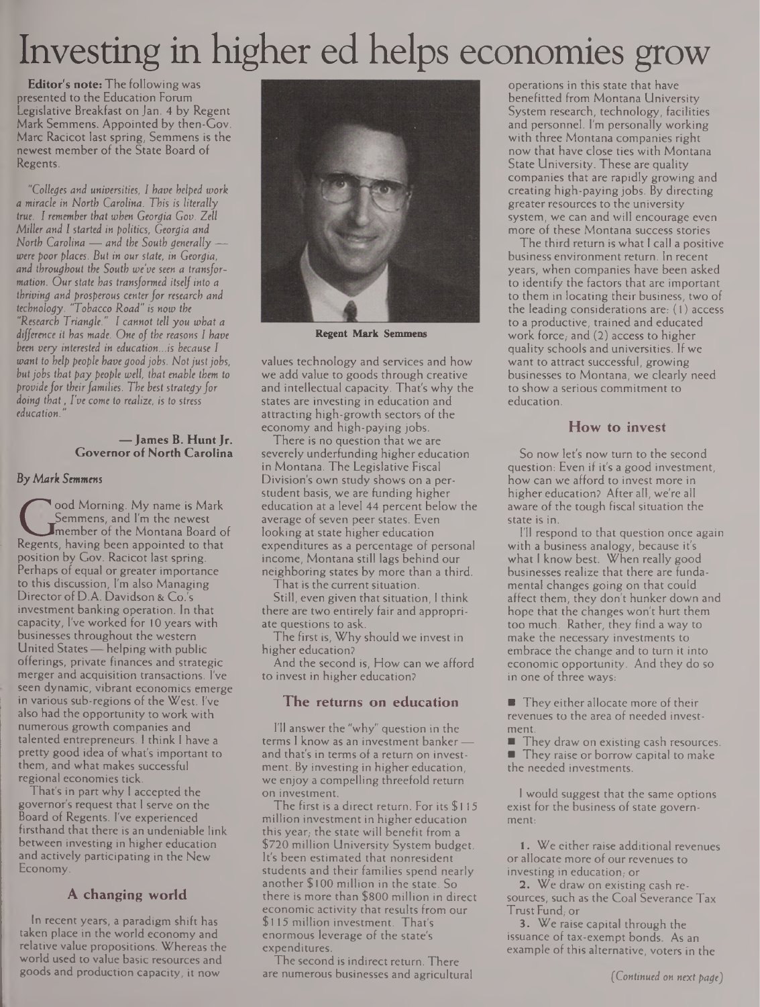# Investing in higher ed helps economies grow

**Editor's note:** The following was presented to the Education Forum Legislative Breakfast on Jan. 4 by Regent Mark Semmens. Appointed by then-Gov. Marc Racicot last spring, Semmens is the newest member of the State Board of Regents.

*"Colleges and universities, I have helped work a miracle in North Carolina. This is literally true. I remember that when Georgia Gov. Zell Miller and I started in politics, Georgia and North Carolina — and the South generally were poor places. But in our state, in Georgia, and throughout the South we've seen a transformation. Our state has transformed itself into a thriving and prosperous centerfor research and technology. "Tobacco Road" is now the "Research Triangle." I cannot tell you what a difference it has made. One of the reasons I have been very interested in education...is because I want to help people have good jobs. Notjustjobs, but jobs that pay people well, that enable them to providefor theirfamilies. The best strategyfor doing that, I've come to realize, is to stress education.* 

#### **—James B. Hunt Jr. Governor of North Carolina**

#### *By Mark Semmens*

Semmens, and I'm the newest<br>Regents, having been appointed to that<br>position by Gov. Racicot last spring ood Morning. My name is Mark Semmens, and I'm the newest Imember of the Montana Board of position by Gov. Racicot last spring. Perhaps of equal or greater importance to this discussion, I'm also Managing Director of D.A. Davidson & Co.'s investment banking operation. In that capacity, I've worked for 10 years with businesses throughout the western United States— helping with public offerings, private finances and strategic merger and acquisition transactions. I've seen dynamic, vibrant economics emerge in various sub-regions of the West. I've also had the opportunity to work with numerous growth companies and talented entrepreneurs. <sup>I</sup> think <sup>I</sup> have a pretty good idea of what's important to them, and what makes successful regional economies tick.

That's in part why I accepted the governor's request that <sup>I</sup> serve on the Board of Regents. I've experienced firsthand that there is an undeniable link between investing in higher education and actively participating in the New Economy.

#### **A changing world**

In recent years, a paradigm shift has taken place in the world economy and relative value propositions. Whereas the world used to value basic resources and goods and production capacity, it now



**Regent Mark Semmens**

values technology and services and how we add value to goods through creative and intellectual capacity. That's why the states are investing in education and attracting high-growth sectors of the economy and high-paying jobs.

There is no question that we are severely underfunding higher education in Montana. The Legislative Fiscal Division's own study shows on a perstudent basis, we are funding higher education at a level 44 percent below the average of seven peer states. Even looking at state higher education expenditures as a percentage of personal income, Montana still lags behind our neighboring states by more than a third.

That is the current situation.

Still, even given that situation, I think there are two entirely fair and appropriate questions to ask.

The first is, Why should we invest in higher education?

And the second is, How can we afford to invest in higher education?

#### **The returns on education**

I'll answer the "why" question in the terms I know as an investment bankerand that's in terms of a return on investment. By investing in higher education, we enjoy a compelling threefold return on investment.

The first is a direct return. For its \$ 115 million investment in higher education this year, the state will benefit from a \$720 million University System budget. It's been estimated that nonresident students and their families spend nearly another \$100 million in the state. So there is more than \$800 million in direct economic activity that results from our \$115 million investment. That's enormous leverage of the state's expenditures.

The second is indirect return. There are numerous businesses and agricultural operations in this state that have benefitted from Montana University System research, technology, facilities and personnel. I'm personally working with three Montana companies right now that have close ties with Montana State University. These are quality companies that are rapidly growing and creating high-paying jobs. By directing greater resources to the university system, we can and will encourage even more of these Montana success stories

The third return is what <sup>I</sup> call a positive business environment return. In recent years, when companies have been asked to identify the factors that are important to them in locating their business, two of the leading considerations are: (1) access to a productive, trained and educated work force, and  $(2)$  access to higher quality schools and universities. If we want to attract successful, growing businesses to Montana, we clearly need to show a serious commitment to education.

#### **How to invest**

So now let's now turn to the second question: Even if it's a good investment, how can we afford to invest more in higher education? After all, we're all aware of the tough fiscal situation the state is in.

I'll respond to that question once again with a business analogy, because it's what <sup>I</sup> know best. When really good businesses realize that there are fundamental changes going on that could affect them, they don't hunker down and hope that the changes won't hurt them too much. Rather, they find a way to make the necessary investments to embrace the change and to turn it into economic opportunity. And they do so in one of three ways:

■ They either allocate more of their revenues to the area of needed investment.

They draw on existing cash resources. ■ They raise or borrow capital to make the needed investments.

<sup>I</sup> would suggest that the same options exist for the business of state government:

**1.** We either raise additional revenues or allocate more of our revenues to investing in education, or

**2.** We draw on existing cash resources, such as the Coal Severance Tax Trust Fund,- or

**3.** We raise capital through the issuance of tax-exempt bonds. As an example of this alternative, voters in the